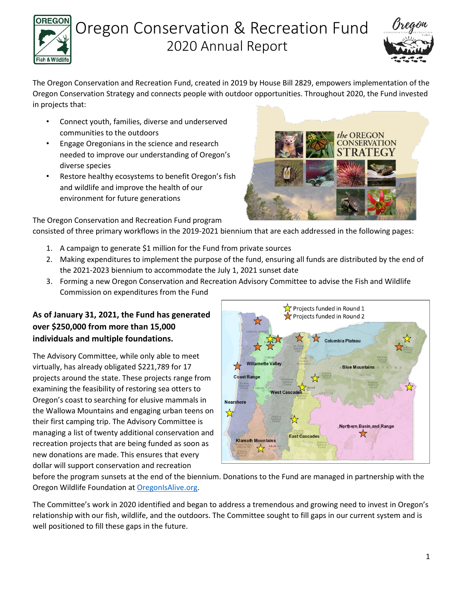



**CONSERVATION** 

The Oregon Conservation and Recreation Fund, created in 2019 by House Bill 2829, empowers implementation of the Oregon Conservation Strategy and connects people with outdoor opportunities. Throughout 2020, the Fund invested in projects that:

- Connect youth, families, diverse and underserved communities to the outdoors
- Engage Oregonians in the science and research needed to improve our understanding of Oregon's diverse species
- Restore healthy ecosystems to benefit Oregon's fish and wildlife and improve the health of our environment for future generations

The Oregon Conservation and Recreation Fund program

consisted of three primary workflows in the 2019-2021 biennium that are each addressed in the following pages:

- 1. A campaign to generate \$1 million for the Fund from private sources
- 2. Making expenditures to implement the purpose of the fund, ensuring all funds are distributed by the end of the 2021-2023 biennium to accommodate the July 1, 2021 sunset date
- 3. Forming a new Oregon Conservation and Recreation Advisory Committee to advise the Fish and Wildlife Commission on expenditures from the Fund

### **As of January 31, 2021, the Fund has generated over \$250,000 from more than 15,000 individuals and multiple foundations.**

The Advisory Committee, while only able to meet virtually, has already obligated \$221,789 for 17 projects around the state. These projects range from examining the feasibility of restoring sea otters to Oregon's coast to searching for elusive mammals in the Wallowa Mountains and engaging urban teens on their first camping trip. The Advisory Committee is managing a list of twenty additional conservation and recreation projects that are being funded as soon as new donations are made. This ensures that every dollar will support conservation and recreation



before the program sunsets at the end of the biennium. Donations to the Fund are managed in partnership with the Oregon Wildlife Foundation at [OregonIsAlive.org.](https://www.oregonisalive.org/)

The Committee's work in 2020 identified and began to address a tremendous and growing need to invest in Oregon's relationship with our fish, wildlife, and the outdoors. The Committee sought to fill gaps in our current system and is well positioned to fill these gaps in the future.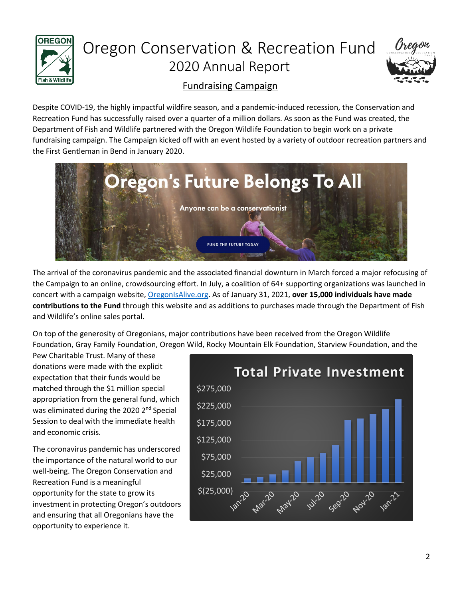



## Fundraising Campaign

Despite COVID-19, the highly impactful wildfire season, and a pandemic-induced recession, the Conservation and Recreation Fund has successfully raised over a quarter of a million dollars. As soon as the Fund was created, the Department of Fish and Wildlife partnered with the Oregon Wildlife Foundation to begin work on a private fundraising campaign. The Campaign kicked off with an event hosted by a variety of outdoor recreation partners and the First Gentleman in Bend in January 2020.



The arrival of the coronavirus pandemic and the associated financial downturn in March forced a major refocusing of the Campaign to an online, crowdsourcing effort. In July, a coalition of 64+ supporting organizations was launched in concert with a campaign website[, OregonIsAlive.org.](https://www.oregonisalive.org/) As of January 31, 2021, **over 15,000 individuals have made contributions to the Fund** through this website and as additions to purchases made through the Department of Fish and Wildlife's online sales portal.

On top of the generosity of Oregonians, major contributions have been received from the Oregon Wildlife Foundation, Gray Family Foundation, Oregon Wild, Rocky Mountain Elk Foundation, Starview Foundation, and the

Pew Charitable Trust. Many of these donations were made with the explicit expectation that their funds would be matched through the \$1 million special appropriation from the general fund, which was eliminated during the 2020 2<sup>nd</sup> Special Session to deal with the immediate health and economic crisis.

The coronavirus pandemic has underscored the importance of the natural world to our well-being. The Oregon Conservation and Recreation Fund is a meaningful opportunity for the state to grow its investment in protecting Oregon's outdoors and ensuring that all Oregonians have the opportunity to experience it.

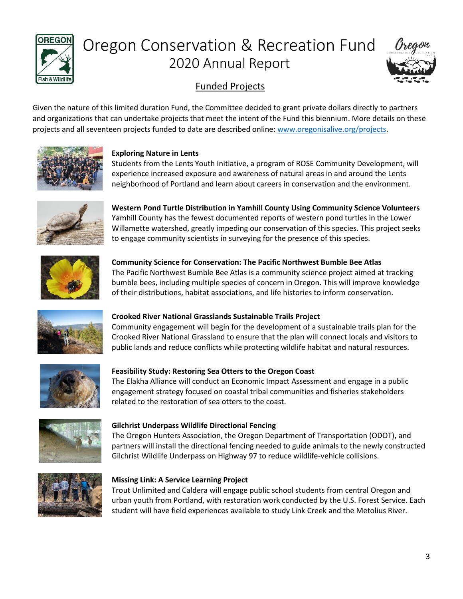



## Funded Projects

Given the nature of this limited duration Fund, the Committee decided to grant private dollars directly to partners and organizations that can undertake projects that meet the intent of the Fund this biennium. More details on these projects and all seventeen projects funded to date are described online: [www.oregonisalive.org/projects.](http://www.oregonisalive.org/projects)



#### **Exploring Nature in Lents**

Students from the Lents Youth Initiative, a program of ROSE Community Development, will experience increased exposure and awareness of natural areas in and around the Lents neighborhood of Portland and learn about careers in conservation and the environment.



**Western Pond Turtle Distribution in Yamhill County Using Community Science Volunteers** Yamhill County has the fewest documented reports of western pond turtles in the Lower Willamette watershed, greatly impeding our conservation of this species. This project seeks to engage community scientists in surveying for the presence of this species.



**Community Science for Conservation: The Pacific Northwest Bumble Bee Atlas** The Pacific Northwest Bumble Bee Atlas is a community science project aimed at tracking bumble bees, including multiple species of concern in Oregon. This will improve knowledge of their distributions, habitat associations, and life histories to inform conservation.



#### **Crooked River National Grasslands Sustainable Trails Project**

Community engagement will begin for the development of a sustainable trails plan for the Crooked River National Grassland to ensure that the plan will connect locals and visitors to public lands and reduce conflicts while protecting wildlife habitat and natural resources.



#### **Feasibility Study: Restoring Sea Otters to the Oregon Coast**

The Elakha Alliance will conduct an Economic Impact Assessment and engage in a public engagement strategy focused on coastal tribal communities and fisheries stakeholders related to the restoration of sea otters to the coast.



#### **Gilchrist Underpass Wildlife Directional Fencing**

The Oregon Hunters Association, the Oregon Department of Transportation (ODOT), and partners will install the directional fencing needed to guide animals to the newly constructed Gilchrist Wildlife Underpass on Highway 97 to reduce wildlife-vehicle collisions.



#### **Missing Link: A Service Learning Project**

Trout Unlimited and Caldera will engage public school students from central Oregon and urban youth from Portland, with restoration work conducted by the U.S. Forest Service. Each student will have field experiences available to study Link Creek and the Metolius River.